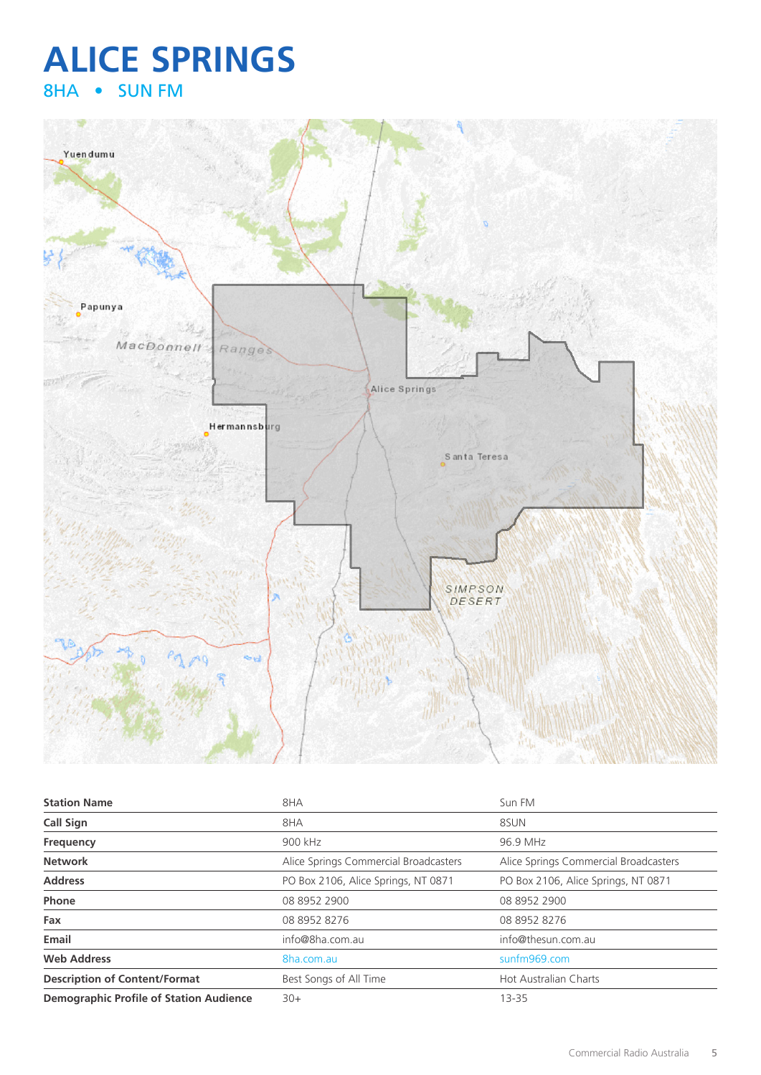## **ALICE SPRINGS** 8HA • SUN FM



| <b>Station Name</b>                            | 8HA                                   | Sun FM                                |
|------------------------------------------------|---------------------------------------|---------------------------------------|
| <b>Call Sign</b>                               | 8HA                                   | 8SUN                                  |
| Frequency                                      | 900 kHz                               | 96.9 MHz                              |
| <b>Network</b>                                 | Alice Springs Commercial Broadcasters | Alice Springs Commercial Broadcasters |
| <b>Address</b>                                 | PO Box 2106, Alice Springs, NT 0871   | PO Box 2106, Alice Springs, NT 0871   |
| Phone                                          | 08 8952 2900                          | 08 8952 2900                          |
| Fax                                            | 08 8952 8276                          | 08 8952 8276                          |
| Email                                          | info@8ha.com.au                       | info@thesun.com.au                    |
| <b>Web Address</b>                             | 8ha.com.au                            | sunfm969.com                          |
| <b>Description of Content/Format</b>           | Best Songs of All Time                | <b>Hot Australian Charts</b>          |
| <b>Demographic Profile of Station Audience</b> | $30+$                                 | $13 - 35$                             |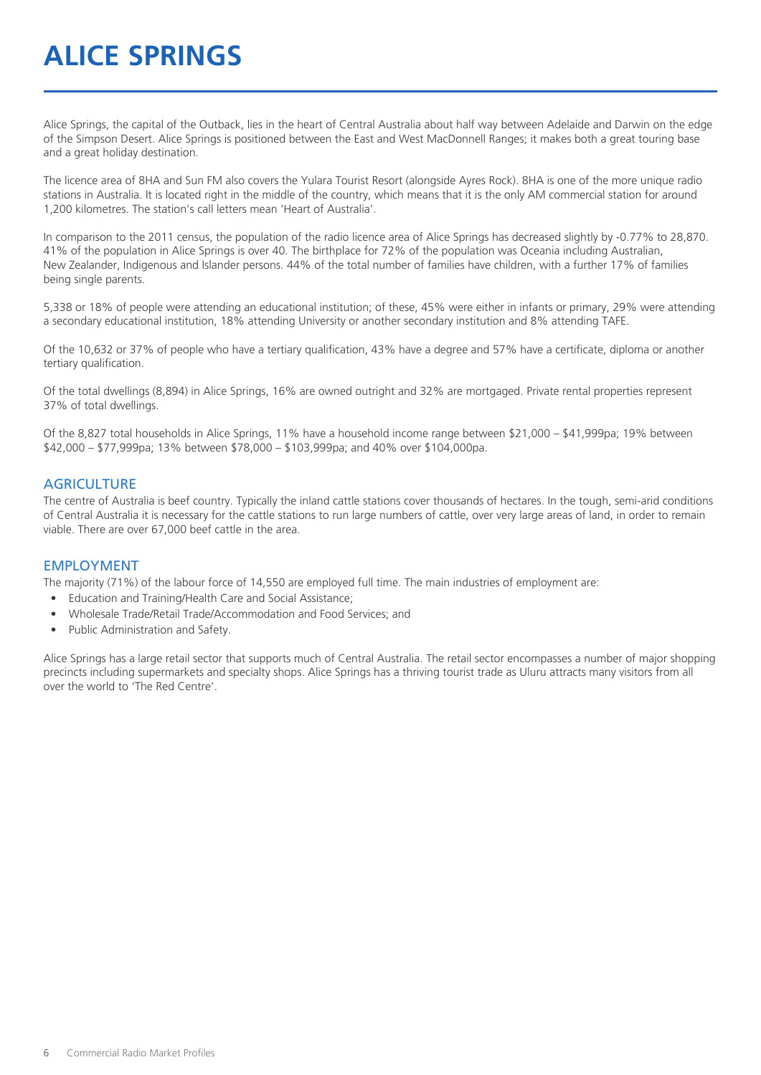# **ALICE SPRINGS**

Alice Springs, the capital of the Outback, lies in the heart of Central Australia about half way between Adelaide and Darwin on the edge of the Simpson Desert. Alice Springs is positioned between the East and West MacDonnell Ranges; it makes both a great touring base and a great holiday destination.

The licence area of 8HA and Sun FM also covers the Yulara Tourist Resort (alongside Ayres Rock). 8HA is one of the more unique radio stations in Australia. It is located right in the middle of the country, which means that it is the only AM commercial station for around 1,200 kilometres. The station's call letters mean 'Heart of Australia'.

In comparison to the 2011 census, the population of the radio licence area of Alice Springs has decreased slightly by -0.77% to 28,870. 41% of the population in Alice Springs is over 40. The birthplace for 72% of the population was Oceania including Australian, New Zealander, Indigenous and Islander persons. 44% of the total number of families have children, with a further 17% of families being single parents.

5,338 or 18% of people were attending an educational institution; of these, 45% were either in infants or primary, 29% were attending a secondary educational institution, 18% attending University or another secondary institution and 8% attending TAFE.

Of the 10,632 or 37% of people who have a tertiary qualification, 43% have a degree and 57% have a certificate, diploma or another tertiary qualification.

Of the total dwellings (8,894) in Alice Springs, 16% are owned outright and 32% are mortgaged. Private rental properties represent 37% of total dwellings.

Of the 8,827 total households in Alice Springs, 11% have a household income range between \$21,000 – \$41,999pa; 19% between \$42,000 – \$77,999pa; 13% between \$78,000 – \$103,999pa; and 40% over \$104,000pa.

#### **AGRICULTURE**

The centre of Australia is beef country. Typically the inland cattle stations cover thousands of hectares. In the tough, semi-arid conditions of Central Australia it is necessary for the cattle stations to run large numbers of cattle, over very large areas of land, in order to remain viable. There are over 67,000 beef cattle in the area.

#### EMPLOYMENT

The majority (71%) of the labour force of 14,550 are employed full time. The main industries of employment are:

- Education and Training/Health Care and Social Assistance;
- Wholesale Trade/Retail Trade/Accommodation and Food Services; and
- Public Administration and Safety.

Alice Springs has a large retail sector that supports much of Central Australia. The retail sector encompasses a number of major shopping precincts including supermarkets and specialty shops. Alice Springs has a thriving tourist trade as Uluru attracts many visitors from all over the world to 'The Red Centre'.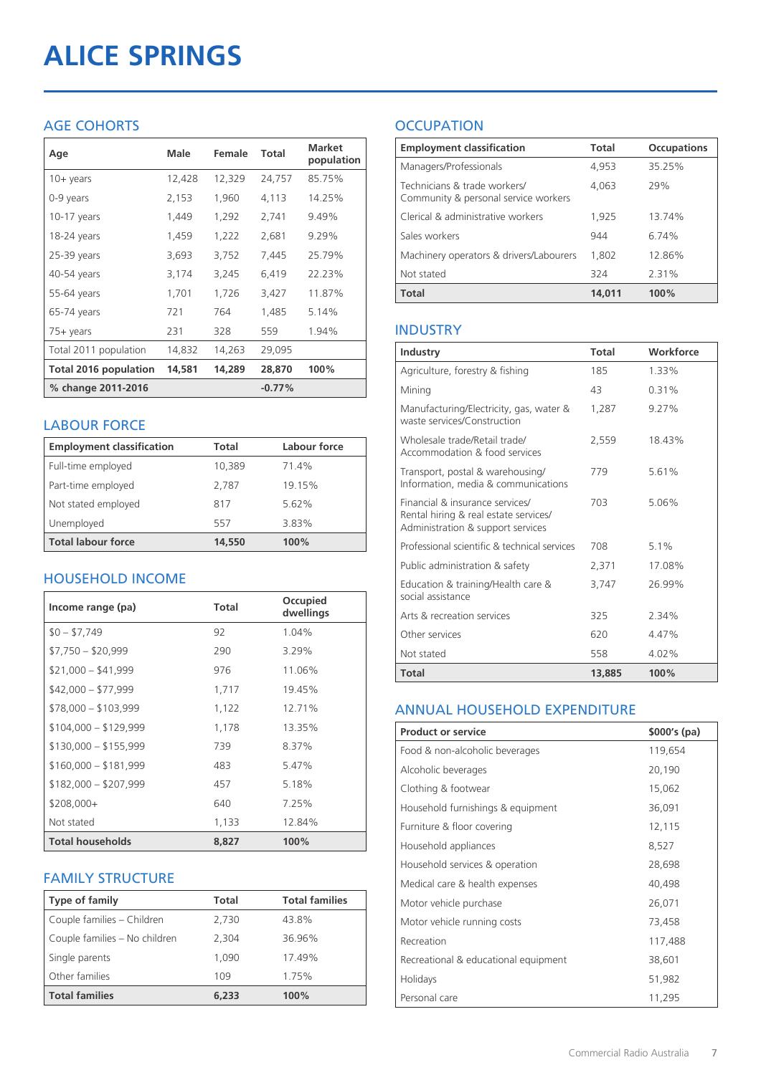# **ALICE SPRINGS**

#### AGE COHORTS

| Age                          | Male   | Female | Total    | <b>Market</b><br>population |
|------------------------------|--------|--------|----------|-----------------------------|
| $10 + \gamma$ ears           | 12,428 | 12,329 | 24,757   | 85.75%                      |
| 0-9 years                    | 2,153  | 1,960  | 4,113    | 14.25%                      |
| $10-17$ years                | 1,449  | 1,292  | 2,741    | 9.49%                       |
| 18-24 years                  | 1,459  | 1,222  | 2,681    | 9.29%                       |
| 25-39 years                  | 3,693  | 3,752  | 7,445    | 25.79%                      |
| 40-54 years                  | 3,174  | 3,245  | 6,419    | 22.23%                      |
| 55-64 years                  | 1,701  | 1,726  | 3,427    | 11.87%                      |
| 65-74 years                  | 721    | 764    | 1,485    | 5.14%                       |
| $75+$ years                  | 231    | 328    | 559      | 1.94%                       |
| Total 2011 population        | 14,832 | 14,263 | 29,095   |                             |
| <b>Total 2016 population</b> | 14,581 | 14,289 | 28,870   | 100%                        |
| % change 2011-2016           |        |        | $-0.77%$ |                             |

#### LABOUR FORCE

| <b>Employment classification</b> | Total  | Labour force |
|----------------------------------|--------|--------------|
| Full-time employed               | 10,389 | 71.4%        |
| Part-time employed               | 2,787  | 19.15%       |
| Not stated employed              | 817    | 5.62%        |
| Unemployed                       | 557    | 3.83%        |
| <b>Total labour force</b>        | 14,550 | 100%         |

#### HOUSEHOLD INCOME

| Income range (pa)       | <b>Total</b> | Occupied<br>dwellings |
|-------------------------|--------------|-----------------------|
| $$0 - $7,749$           | 92           | 1.04%                 |
| $$7,750 - $20,999$      | 290          | 3.29%                 |
| $$21,000 - $41,999$     | 976          | 11.06%                |
| $$42,000 - $77,999$     | 1,717        | 19.45%                |
| $$78,000 - $103,999$    | 1,122        | 12.71%                |
| $$104,000 - $129,999$   | 1,178        | 13.35%                |
| $$130,000 - $155,999$   | 739          | 8.37%                 |
| $$160,000 - $181,999$   | 483          | 5.47%                 |
| $$182,000 - $207,999$   | 457          | 5.18%                 |
| $$208,000+$             | 640          | 7.25%                 |
| Not stated              | 1,133        | 12.84%                |
| <b>Total households</b> | 8.827        | 100%                  |

#### FAMILY STRUCTURE

| <b>Type of family</b>         | Total | <b>Total families</b> |
|-------------------------------|-------|-----------------------|
| Couple families - Children    | 2,730 | 43.8%                 |
| Couple families - No children | 2.304 | 36.96%                |
| Single parents                | 1.090 | 17.49%                |
| Other families                | 109   | 1.75%                 |
| <b>Total families</b>         | 6,233 | 100%                  |

### **OCCUPATION**

| <b>Employment classification</b>                                     | <b>Total</b> | <b>Occupations</b> |
|----------------------------------------------------------------------|--------------|--------------------|
| Managers/Professionals                                               | 4,953        | 35.25%             |
| Technicians & trade workers/<br>Community & personal service workers | 4,063        | 79%                |
| Clerical & administrative workers                                    | 1,925        | 13.74%             |
| Sales workers                                                        | 944          | 6.74%              |
| Machinery operators & drivers/Labourers                              | 1,802        | 12.86%             |
| Not stated                                                           | 324          | 2.31%              |
| <b>Total</b>                                                         | 14,011       | 100%               |

#### INDUSTRY

| Industry                                                                                                      | Total  | Workforce |
|---------------------------------------------------------------------------------------------------------------|--------|-----------|
| Agriculture, forestry & fishing                                                                               | 185    | 133%      |
| Mining                                                                                                        | 43     | 0.31%     |
| Manufacturing/Electricity, gas, water &<br>waste services/Construction                                        | 1,287  | 9.27%     |
| Wholesale trade/Retail trade/<br>Accommodation & food services                                                | 2,559  | 1843%     |
| Transport, postal & warehousing/<br>Information, media & communications                                       | 779    | 5.61%     |
| Financial & insurance services/<br>Rental hiring & real estate services/<br>Administration & support services | 703    | 5.06%     |
| Professional scientific & technical services                                                                  | 708    | 5.1%      |
| Public administration & safety                                                                                | 2,371  | 17.08%    |
| Education & training/Health care &<br>social assistance                                                       | 3,747  | 26.99%    |
| Arts & recreation services                                                                                    | 325    | 2 34%     |
| Other services                                                                                                | 620    | 4.47%     |
| Not stated                                                                                                    | 558    | 4.02%     |
| <b>Total</b>                                                                                                  | 13,885 | 100%      |

#### ANNUAL HOUSEHOLD EXPENDITURE

| <b>Product or service</b>            | $$000's$ (pa) |
|--------------------------------------|---------------|
| Food & non-alcoholic beverages       | 119,654       |
| Alcoholic beverages                  | 20,190        |
| Clothing & footwear                  | 15,062        |
| Household furnishings & equipment    | 36,091        |
| Furniture & floor covering           | 12,115        |
| Household appliances                 | 8,527         |
| Household services & operation       | 28,698        |
| Medical care & health expenses       | 40,498        |
| Motor vehicle purchase               | 26,071        |
| Motor vehicle running costs          | 73,458        |
| Recreation                           | 117,488       |
| Recreational & educational equipment | 38,601        |
| Holidays                             | 51,982        |
| Personal care                        | 11,295        |